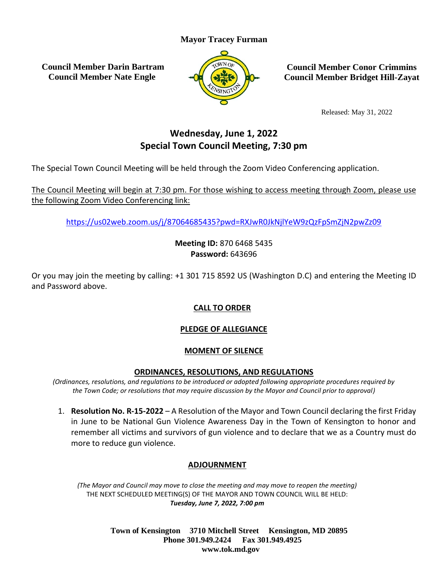### **Mayor Tracey Furman**

**Council Member Darin Bartram Council Member Nate Engle**



**Council Member Conor Crimmins Council Member Bridget Hill-Zayat**

Released: May 31, 2022

# **Wednesday, June 1, 2022 Special Town Council Meeting, 7:30 pm**

The Special Town Council Meeting will be held through the Zoom Video Conferencing application.

The Council Meeting will begin at 7:30 pm. For those wishing to access meeting through Zoom, please use the following Zoom Video Conferencing link:

<https://us02web.zoom.us/j/87064685435?pwd=RXJwR0JkNjlYeW9zQzFpSmZjN2pwZz09>

**Meeting ID:** 870 6468 5435 **Password:** 643696

Or you may join the meeting by calling: +1 301 715 8592 US (Washington D.C) and entering the Meeting ID and Password above.

# **CALL TO ORDER**

# **PLEDGE OF ALLEGIANCE**

### **MOMENT OF SILENCE**

#### **ORDINANCES, RESOLUTIONS, AND REGULATIONS**

*(Ordinances, resolutions, and regulations to be introduced or adopted following appropriate procedures required by the Town Code; or resolutions that may require discussion by the Mayor and Council prior to approval)*

1. **Resolution No. R-15-2022** – A Resolution of the Mayor and Town Council declaring the first Friday in June to be National Gun Violence Awareness Day in the Town of Kensington to honor and remember all victims and survivors of gun violence and to declare that we as a Country must do more to reduce gun violence.

# **ADJOURNMENT**

*(The Mayor and Council may move to close the meeting and may move to reopen the meeting)* THE NEXT SCHEDULED MEETING(S) OF THE MAYOR AND TOWN COUNCIL WILL BE HELD: *Tuesday, June 7, 2022, 7:00 pm*

> **Town of Kensington 3710 Mitchell Street Kensington, MD 20895 Phone 301.949.2424 Fax 301.949.4925 www.tok.md.gov**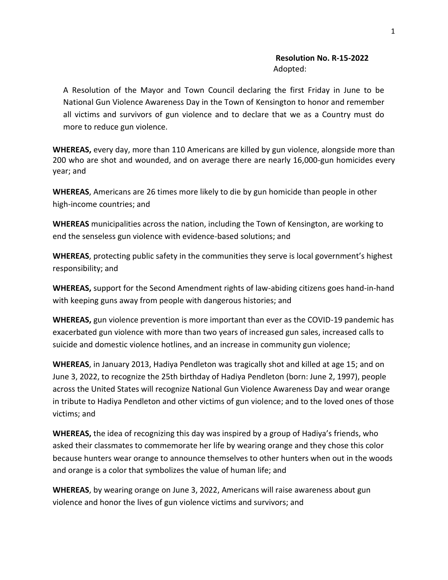#### **Resolution No. R-15-2022** Adopted:

A Resolution of the Mayor and Town Council declaring the first Friday in June to be National Gun Violence Awareness Day in the Town of Kensington to honor and remember all victims and survivors of gun violence and to declare that we as a Country must do more to reduce gun violence.

**WHEREAS,** every day, more than 110 Americans are killed by gun violence, alongside more than 200 who are shot and wounded, and on average there are nearly 16,000-gun homicides every year; and

**WHEREAS**, Americans are 26 times more likely to die by gun homicide than people in other high-income countries; and

**WHEREAS** municipalities across the nation, including the Town of Kensington, are working to end the senseless gun violence with evidence-based solutions; and

**WHEREAS**, protecting public safety in the communities they serve is local government's highest responsibility; and

**WHEREAS,** support for the Second Amendment rights of law-abiding citizens goes hand-in-hand with keeping guns away from people with dangerous histories; and

**WHEREAS,** gun violence prevention is more important than ever as the COVID-19 pandemic has exacerbated gun violence with more than two years of increased gun sales, increased calls to suicide and domestic violence hotlines, and an increase in community gun violence;

**WHEREAS**, in January 2013, Hadiya Pendleton was tragically shot and killed at age 15; and on June 3, 2022, to recognize the 25th birthday of Hadiya Pendleton (born: June 2, 1997), people across the United States will recognize National Gun Violence Awareness Day and wear orange in tribute to Hadiya Pendleton and other victims of gun violence; and to the loved ones of those victims; and

**WHEREAS,** the idea of recognizing this day was inspired by a group of Hadiya's friends, who asked their classmates to commemorate her life by wearing orange and they chose this color because hunters wear orange to announce themselves to other hunters when out in the woods and orange is a color that symbolizes the value of human life; and

**WHEREAS**, by wearing orange on June 3, 2022, Americans will raise awareness about gun violence and honor the lives of gun violence victims and survivors; and